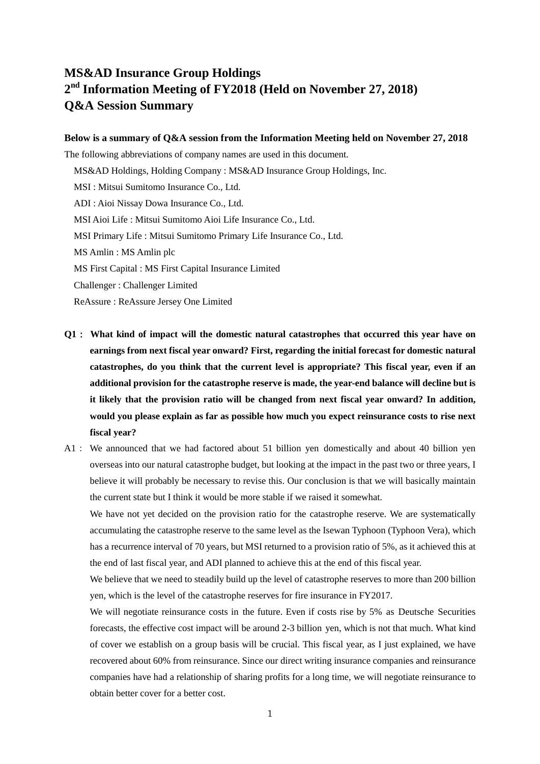## **MS&AD Insurance Group Holdings 2 nd Information Meeting of FY2018 (Held on November 27, 2018) Q&A Session Summary**

## **Below is a summary of Q&A session from the Information Meeting held on November 27, 2018**

The following abbreviations of company names are used in this document.

MS&AD Holdings, Holding Company : MS&AD Insurance Group Holdings, Inc.

MSI : Mitsui Sumitomo Insurance Co., Ltd.

ADI : Aioi Nissay Dowa Insurance Co., Ltd.

MSI Aioi Life : Mitsui Sumitomo Aioi Life Insurance Co., Ltd.

MSI Primary Life : Mitsui Sumitomo Primary Life Insurance Co., Ltd.

MS Amlin : MS Amlin plc

MS First Capital : MS First Capital Insurance Limited

Challenger : Challenger Limited

ReAssure : ReAssure Jersey One Limited

- **Q1**: **What kind of impact will the domestic natural catastrophes that occurred this year have on earnings from next fiscal year onward? First, regarding the initial forecast for domestic natural catastrophes, do you think that the current level is appropriate? This fiscal year, even if an additional provision for the catastrophe reserve is made, the year-end balance will decline but is it likely that the provision ratio will be changed from next fiscal year onward? In addition, would you please explain as far as possible how much you expect reinsurance costs to rise next fiscal year?**
- A1: We announced that we had factored about 51 billion yen domestically and about 40 billion yen overseas into our natural catastrophe budget, but looking at the impact in the past two or three years, I believe it will probably be necessary to revise this. Our conclusion is that we will basically maintain the current state but I think it would be more stable if we raised it somewhat.

We have not yet decided on the provision ratio for the catastrophe reserve. We are systematically accumulating the catastrophe reserve to the same level as the Isewan Typhoon (Typhoon Vera), which has a recurrence interval of 70 years, but MSI returned to a provision ratio of 5%, as it achieved this at the end of last fiscal year, and ADI planned to achieve this at the end of this fiscal year.

We believe that we need to steadily build up the level of catastrophe reserves to more than 200 billion yen, which is the level of the catastrophe reserves for fire insurance in FY2017.

We will negotiate reinsurance costs in the future. Even if costs rise by 5% as Deutsche Securities forecasts, the effective cost impact will be around 2-3 billion yen, which is not that much. What kind of cover we establish on a group basis will be crucial. This fiscal year, as I just explained, we have recovered about 60% from reinsurance. Since our direct writing insurance companies and reinsurance companies have had a relationship of sharing profits for a long time, we will negotiate reinsurance to obtain better cover for a better cost.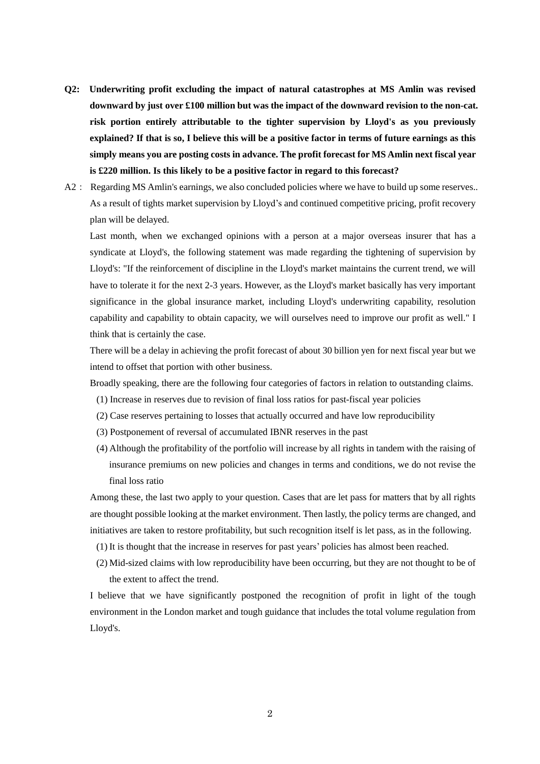- **Q2: Underwriting profit excluding the impact of natural catastrophes at MS Amlin was revised downward by just over £100 million but was the impact of the downward revision to the non-cat. risk portion entirely attributable to the tighter supervision by Lloyd's as you previously** explained? If that is so, I believe this will be a positive factor in terms of future earnings as this **simply means you are posting costs in advance. The profit forecast for MS Amlin next fiscal year is £220 million. Is this likely to be a positive factor in regard to this forecast?**
- A2: Regarding MS Amlin's earnings, we also concluded policies where we have to build up some reserves.. As a result of tights market supervision by Lloyd's and continued competitive pricing, profit recovery plan will be delayed.

Last month, when we exchanged opinions with a person at a major overseas insurer that has a syndicate at Lloyd's, the following statement was made regarding the tightening of supervision by Lloyd's: "If the reinforcement of discipline in the Lloyd's market maintains the current trend, we will have to tolerate it for the next 2-3 years. However, as the Lloyd's market basically has very important significance in the global insurance market, including Lloyd's underwriting capability, resolution capability and capability to obtain capacity, we will ourselves need to improve our profit as well." I think that is certainly the case.

There will be a delay in achieving the profit forecast of about 30 billion yen for next fiscal year but we intend to offset that portion with other business.

Broadly speaking, there are the following four categories of factors in relation to outstanding claims.

- (1) Increase in reserves due to revision of final loss ratios for past-fiscal year policies
- (2) Case reserves pertaining to losses that actually occurred and have low reproducibility
- (3) Postponement of reversal of accumulated IBNR reserves in the past
- (4) Although the profitability of the portfolio will increase by all rights in tandem with the raising of insurance premiums on new policies and changes in terms and conditions, we do not revise the final loss ratio

Among these, the last two apply to your question. Cases that are let pass for matters that by all rights are thought possible looking at the market environment. Then lastly, the policy terms are changed, and initiatives are taken to restore profitability, but such recognition itself is let pass, as in the following.

- (1) It is thought that the increase in reserves for past years' policies has almost been reached.
- (2) Mid-sized claims with low reproducibility have been occurring, but they are not thought to be of the extent to affect the trend.

I believe that we have significantly postponed the recognition of profit in light of the tough environment in the London market and tough guidance that includes the total volume regulation from Lloyd's.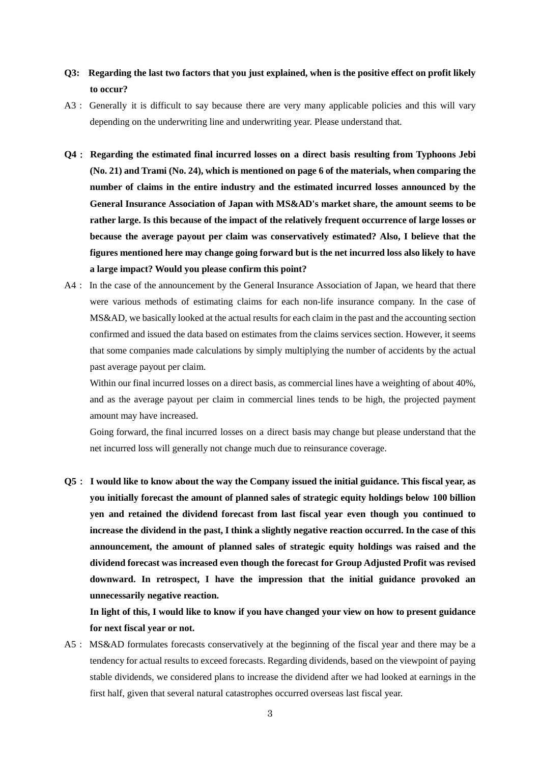## Q3: Regarding the last two factors that you just explained, when is the positive effect on profit likely **to occur?**

- A3: Generally it is difficult to say because there are very many applicable policies and this will vary depending on the underwriting line and underwriting year. Please understand that.
- **Q4**: **Regarding the estimated final incurred losses on a direct basis resulting from Typhoons Jebi (No. 21) and Trami (No. 24), which is mentioned on page 6 of the materials, when comparing the number of claims in the entire industry and the estimated incurred losses announced by the General Insurance Association of Japan with MS&AD's market share, the amount seems to be rather large. Is this because of the impact of the relatively frequent occurrence of large losses or because the average payout per claim was conservatively estimated? Also, I believe that the figures mentioned here may change going forward but is the net incurred loss also likely to have a large impact? Would you please confirm this point?**
- A4: In the case of the announcement by the General Insurance Association of Japan, we heard that there were various methods of estimating claims for each non-life insurance company. In the case of MS&AD, we basically looked at the actual results for each claim in the past and the accounting section confirmed and issued the data based on estimates from the claims services section. However, it seems that some companies made calculations by simply multiplying the number of accidents by the actual past average payout per claim.

Within our final incurred losses on a direct basis, as commercial lines have a weighting of about 40%, and as the average payout per claim in commercial lines tends to be high, the projected payment amount may have increased.

Going forward, the final incurred losses on a direct basis may change but please understand that the net incurred loss will generally not change much due to reinsurance coverage.

Q5 : I would like to know about the way the Company issued the initial guidance. This fiscal year, as **you initially forecast the amount of planned sales of strategic equity holdings below 100 billion yen and retained the dividend forecast from last fiscal year even though you continued to** increase the dividend in the past, I think a slightly negative reaction occurred. In the case of this **announcement, the amount of planned sales of strategic equity holdings was raised and the dividend forecast was increased even though the forecast for Group Adjusted Profit was revised downward. In retrospect, I have the impression that the initial guidance provoked an unnecessarily negative reaction.**

In light of this, I would like to know if you have changed your view on how to present guidance **for next fiscal year or not.**

A5: MS&AD formulates forecasts conservatively at the beginning of the fiscal year and there may be a tendency for actual results to exceed forecasts. Regarding dividends, based on the viewpoint of paying stable dividends, we considered plans to increase the dividend after we had looked at earnings in the first half, given that several natural catastrophes occurred overseas last fiscal year.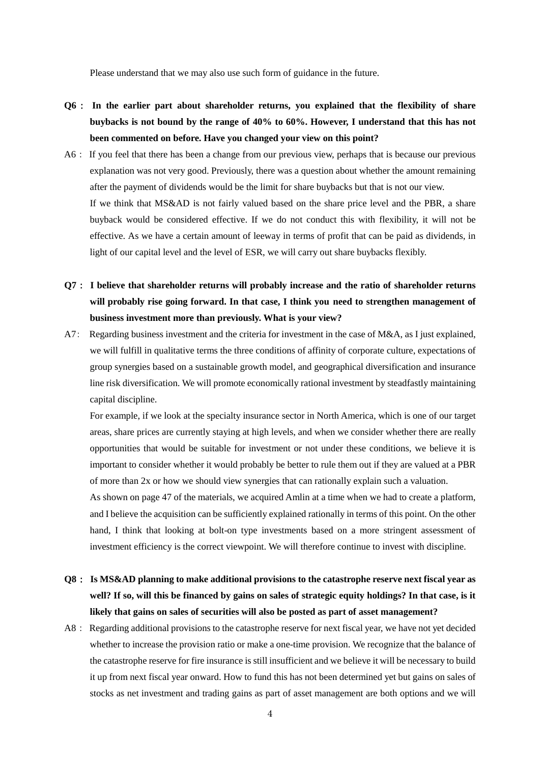Please understand that we may also use such form of guidance in the future.

- **Q6**: **In the earlier part about shareholder returns, you explained that the flexibility of share buybacks is not bound by the range of 40% to 60%. However, I understand that this has not been commented on before. Have you changed your view on this point?**
- A6: If you feel that there has been a change from our previous view, perhaps that is because our previous explanation was not very good. Previously, there was a question about whether the amount remaining after the payment of dividends would be the limit for share buybacks but that is not our view. If we think that MS&AD is not fairly valued based on the share price level and the PBR, a share buyback would be considered effective. If we do not conduct this with flexibility, it will not be effective. As we have a certain amount of leeway in terms of profit that can be paid as dividends, in light of our capital level and the level of ESR, we will carry out share buybacks flexibly.
- **Q7**: **I believe that shareholder returns will probably increase and the ratio of shareholder returns will probably rise going forward. In that case, I think you need to strengthen management of business investment more than previously. What is your view?**
- A7: Regarding business investment and the criteria for investment in the case of M&A, as I just explained, we will fulfill in qualitative terms the three conditions of affinity of corporate culture, expectations of group synergies based on a sustainable growth model, and geographical diversification and insurance line risk diversification. We will promote economically rational investment by steadfastly maintaining capital discipline.

For example, if we look at the specialty insurance sector in North America, which is one of our target areas, share prices are currently staying at high levels, and when we consider whether there are really opportunities that would be suitable for investment or not under these conditions, we believe it is important to consider whether it would probably be better to rule them out if they are valued at a PBR of more than 2x or how we should view synergies that can rationally explain such a valuation.

As shown on page 47 of the materials, we acquired Amlin at a time when we had to create a platform, and I believe the acquisition can be sufficiently explained rationally in terms of this point. On the other hand, I think that looking at bolt-on type investments based on a more stringent assessment of investment efficiency is the correct viewpoint. We will therefore continue to invest with discipline.

- **Q8**: **Is MS&AD planning to make additional provisions to the catastrophe reserve next fiscal year as** well? If so, will this be financed by gains on sales of strategic equity holdings? In that case, is it **likely that gains on sales of securities will also be posted as part of asset management?**
- A8: Regarding additional provisions to the catastrophe reserve for next fiscal year, we have not yet decided whether to increase the provision ratio or make a one-time provision. We recognize that the balance of the catastrophe reserve for fire insurance is still insufficient and we believe it will be necessary to build it up from next fiscal year onward. How to fund this has not been determined yet but gains on sales of stocks as net investment and trading gains as part of asset management are both options and we will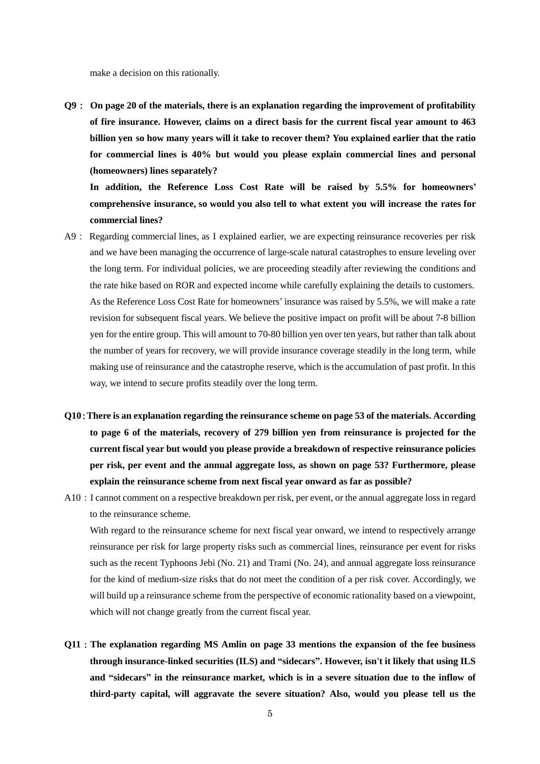make a decision on this rationally.

**Q9**: **On page 20 of the materials, there is an explanation regarding the improvement of profitability of fire insurance. However, claims on a direct basis for the current fiscal year amount to 463 billion yen so how many years will it take to recover them? You explained earlier that the ratio for commercial lines is 40% but would you please explain commercial lines and personal (homeowners) lines separately?**

**In addition, the Reference Loss Cost Rate will be raised by 5.5% for homeowners' comprehensive insurance, so would you also tell to what extent you will increase the rates for commercial lines?**

- A9: Regarding commercial lines, as I explained earlier, we are expecting reinsurance recoveries per risk and we have been managing the occurrence of large-scale natural catastrophes to ensure leveling over the long term. For individual policies, we are proceeding steadily after reviewing the conditions and the rate hike based on ROR and expected income while carefully explaining the details to customers. As the Reference Loss Cost Rate for homeowners' insurance was raised by 5.5%, we will make a rate revision for subsequent fiscal years. We believe the positive impact on profit will be about 7-8 billion yen for the entire group. This will amount to 70-80 billion yen over ten years, but rather than talk about the number of years for recovery, we will provide insurance coverage steadily in the long term, while making use of reinsurance and the catastrophe reserve, which is the accumulation of past profit. In this way, we intend to secure profits steadily over the long term.
- **Q10**:**There is an explanation regarding the reinsurance scheme on page 53 of the materials. According to page 6 of the materials, recovery of 279 billion yen from reinsurance is projected for the current fiscal year but would you please provide a breakdown of respective reinsurance policies per risk, per event and the annual aggregate loss, as shown on page 53? Furthermore, please explain the reinsurance scheme from next fiscal year onward as far as possible?**
- A10: I cannot comment on a respective breakdown per risk, per event, or the annual aggregate loss in regard to the reinsurance scheme.

With regard to the reinsurance scheme for next fiscal year onward, we intend to respectively arrange reinsurance per risk for large property risks such as commercial lines, reinsurance per event for risks such as the recent Typhoons Jebi (No. 21) and Trami (No. 24), and annual aggregate loss reinsurance for the kind of medium-size risks that do not meet the condition of a per risk cover. Accordingly, we will build up a reinsurance scheme from the perspective of economic rationality based on a viewpoint, which will not change greatly from the current fiscal year.

**Q11**:**The explanation regarding MS Amlin on page 33 mentions the expansion of the fee business through insurance-linked securities (ILS) and "sidecars". However, isn't it likely that using ILS and "sidecars" in the reinsurance market, which is in a severe situation due to the inflow of third-party capital, will aggravate the severe situation? Also, would you please tell us the**